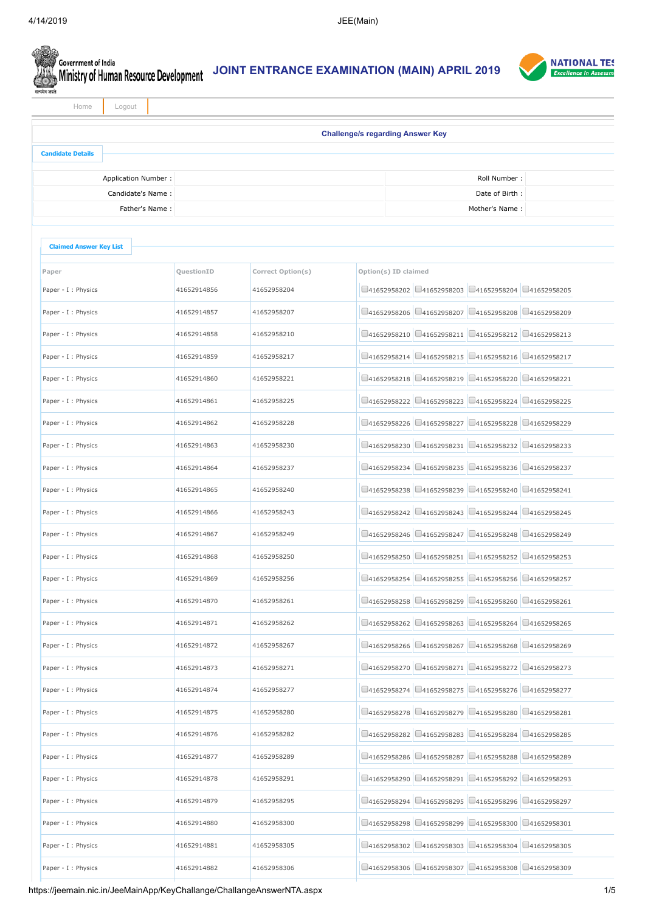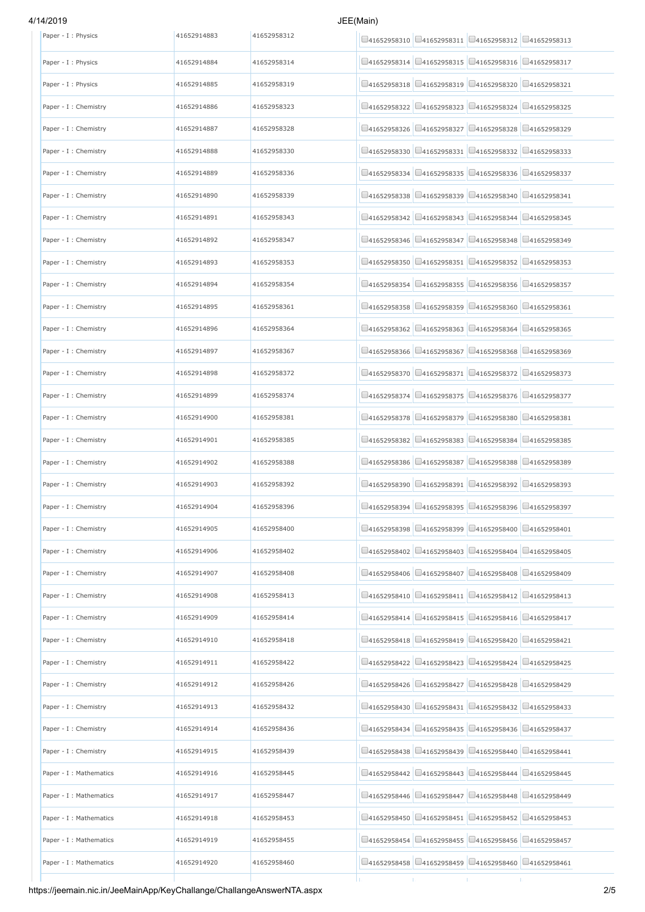## 4/14/2019 JEE

| Paper - I : Physics     | 41652914883 | 41652958312 | □41652958310 □41652958311 □41652958312 □41652958313                         |                                                          |                    |
|-------------------------|-------------|-------------|-----------------------------------------------------------------------------|----------------------------------------------------------|--------------------|
| Paper - I : Physics     | 41652914884 | 41652958314 | □41652958314 □41652958315 □41652958316 □41652958317                         |                                                          |                    |
| Paper - I : Physics     | 41652914885 | 41652958319 | 41652958319<br>141652958318                                                 | □41652958320                                             | $\Box$ 41652958321 |
| Paper - I : Chemistry   | 41652914886 | 41652958323 | $Q$ 41652958322                                                             | $\Box$ 41652958323 $\Box$ 41652958324 $\Box$ 41652958325 |                    |
| Paper - I : Chemistry   | 41652914887 | 41652958328 | □41652958327<br>141652958326                                                | □41652958328                                             | □41652958329       |
| Paper - I : Chemistry   | 41652914888 | 41652958330 | $\Box$ 41652958330 $\Box$ 41652958331 $\Box$ 41652958332 $\Box$ 41652958333 |                                                          |                    |
| Paper - I : Chemistry   | 41652914889 | 41652958336 | 141652958334                                                                | □41652958335 □41652958336 □41652958337                   |                    |
| Paper - I : Chemistry   | 41652914890 | 41652958339 | 141652958338                                                                | □41652958339 □41652958340                                | 041652958341       |
| Paper - I : Chemistry   | 41652914891 | 41652958343 | □41652958342 □41652958343 □41652958344 □41652958345                         |                                                          |                    |
| Paper - I : Chemistry   | 41652914892 | 41652958347 | 41652958346<br>141652958347                                                 | □41652958348                                             | □41652958349       |
| Paper - I : Chemistry   | 41652914893 | 41652958353 | 141652958350                                                                | $\Box$ 41652958351 $\Box$ 41652958352 $\Box$ 41652958353 |                    |
| Paper - I : Chemistry   | 41652914894 | 41652958354 | □41652958355<br>141652958354                                                | $\Box$ 41652958356                                       | □41652958357       |
| Paper - I : Chemistry   | 41652914895 | 41652958361 | $\Box$ 41652958358                                                          | □41652958359 □41652958360 □41652958361                   |                    |
| Paper - I : Chemistry   | 41652914896 | 41652958364 | □41652958362                                                                | □41652958363 □41652958364 □41652958365                   |                    |
| Paper - I : Chemistry   | 41652914897 | 41652958367 | 141652958366<br>$\Box$ 41652958367                                          | $\bigcup$ 41652958368                                    | 041652958369       |
| Paper - I : Chemistry   | 41652914898 | 41652958372 | □41652958370 □41652958371 □41652958372 □41652958373                         |                                                          |                    |
| Paper - I : Chemistry   | 41652914899 | 41652958374 | 41652958375<br>141652958374                                                 | □41652958376                                             | □41652958377       |
| Paper - I : Chemistry   | 41652914900 | 41652958381 | 141652958378                                                                | □41652958379 □41652958380 □41652958381                   |                    |
| Paper - I : Chemistry   | 41652914901 | 41652958385 | $\Box$ 41652958382 $\Box$ 41652958383 $\Box$ 41652958384 $\Box$ 41652958385 |                                                          |                    |
| Paper - I : Chemistry   | 41652914902 | 41652958388 | 141652958386                                                                | □41652958387 □41652958388 □41652958389                   |                    |
| Paper - I : Chemistry   | 41652914903 | 41652958392 | 141652958390                                                                | □41652958391 □41652958392 □41652958393                   |                    |
| Paper - I : Chemistry   | 41652914904 | 41652958396 | 141652958394                                                                | □41652958395 □41652958396 □41652958397                   |                    |
| Paper - I : Chemistry   | 41652914905 | 41652958400 | $\Box$ 41652958398 $\Box$ 41652958399 $\Box$ 41652958400 $\Box$ 41652958401 |                                                          |                    |
| Paper - I : Chemistry   | 41652914906 | 41652958402 | □41652958402 □41652958403 □41652958404 □41652958405                         |                                                          |                    |
| Paper - I : Chemistry   | 41652914907 | 41652958408 | □41652958406 □41652958407 □41652958408 □41652958409                         |                                                          |                    |
| Paper - I : Chemistry   | 41652914908 | 41652958413 | $\Box$ 41652958410 $\Box$ 41652958411 $\Box$ 41652958412 $\Box$ 41652958413 |                                                          |                    |
| Paper - I : Chemistry   | 41652914909 | 41652958414 | 141652958414                                                                | □41652958415 □41652958416 □41652958417                   |                    |
| Paper - I : Chemistry   | 41652914910 | 41652958418 | $\Box$ 41652958418 $\Box$ 41652958419 $\Box$ 41652958420 $\Box$ 41652958421 |                                                          |                    |
| Paper - I : Chemistry   | 41652914911 | 41652958422 | 41652958422<br>$\Box$ 41652958423                                           | □41652958424                                             | □41652958425       |
| Paper - I : Chemistry   | 41652914912 | 41652958426 | 141652958426                                                                | $\Box$ 41652958427 $\Box$ 41652958428 $\Box$ 41652958429 |                    |
| Paper - I : Chemistry   | 41652914913 | 41652958432 | 141652958430                                                                | $\Box$ 41652958431 $\Box$ 41652958432 $\Box$ 41652958433 |                    |
| Paper - I : Chemistry   | 41652914914 | 41652958436 | 141652958434                                                                | $\Box$ 41652958435 $\Box$ 41652958436 $\Box$ 41652958437 |                    |
| Paper - I : Chemistry   | 41652914915 | 41652958439 | 141652958438                                                                | □41652958439 □41652958440 □41652958441                   |                    |
| Paper - I : Mathematics | 41652914916 | 41652958445 | 141652958442<br>$\Box$ 41652958443                                          | □41652958444                                             | □41652958445       |
| Paper - I : Mathematics | 41652914917 | 41652958447 | 141652958446                                                                | $\Box$ 41652958447 $\Box$ 41652958448 $\Box$ 41652958449 |                    |
| Paper - I : Mathematics | 41652914918 | 41652958453 | □41652958450<br>141652958451                                                | 041652958452                                             | □41652958453       |
| Paper - I : Mathematics | 41652914919 | 41652958455 | □41652958454 □41652958455 □41652958456 □41652958457                         |                                                          |                    |
| Paper - I : Mathematics | 41652914920 | 41652958460 | $\Box$ 41652958458 $\Box$ 41652958459 $\Box$ 41652958460 $\Box$ 41652958461 |                                                          |                    |
|                         |             |             |                                                                             | т.                                                       | т.                 |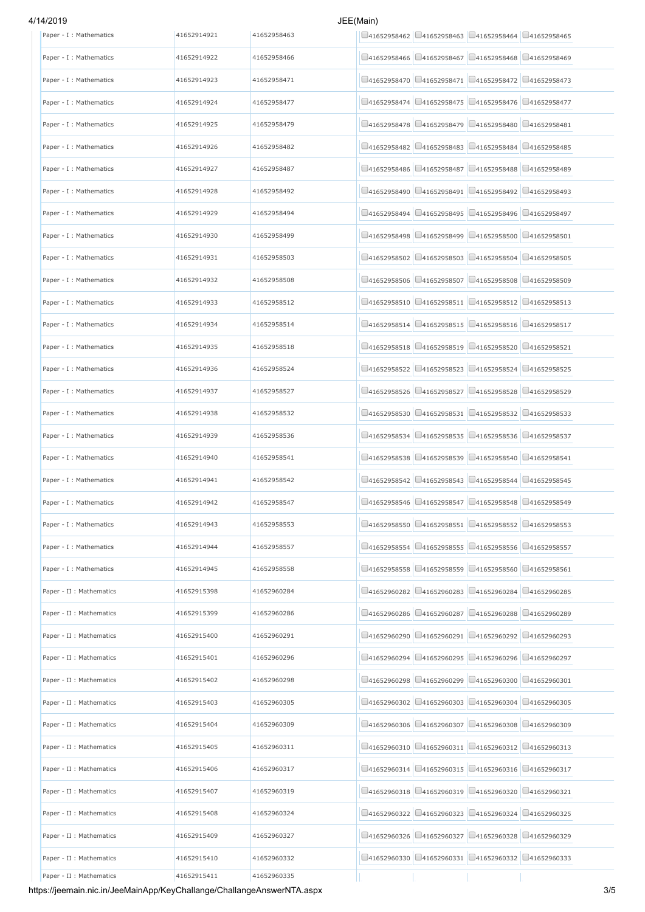# 4/14/2019 JEE(Main)

| Paper - I : Mathematics  | 41652914921 | 41652958463 | $\Box$ 41652958462 $\Box$ 41652958463 $\Box$ 41652958464 $\Box$ 41652958465                        |
|--------------------------|-------------|-------------|----------------------------------------------------------------------------------------------------|
| Paper - I : Mathematics  | 41652914922 | 41652958466 | □41652958466 □41652958467 □41652958468 □41652958469                                                |
| Paper - I : Mathematics  | 41652914923 | 41652958471 | □41652958471 □41652958472 □41652958473<br>141652958470                                             |
| Paper - I : Mathematics  | 41652914924 | 41652958477 | □41652958474 □41652958475 □41652958476 □41652958477                                                |
| Paper - I : Mathematics  | 41652914925 | 41652958479 | □41652958480<br>□41652958479<br>□41652958481<br>141652958478                                       |
| Paper - I : Mathematics  | 41652914926 | 41652958482 | □41652958482 □41652958483 □41652958484 □41652958485                                                |
| Paper - I : Mathematics  | 41652914927 | 41652958487 | $\Box$ 41652958487 $\Box$ 41652958488 $\Box$ 41652958489<br>41652958486                            |
| Paper - I : Mathematics  | 41652914928 | 41652958492 | $\Box$ 41652958490 $\Box$ 41652958491 $\Box$ 41652958492 $\Box$ 41652958493                        |
| Paper - I : Mathematics  | 41652914929 | 41652958494 | □41652958496 □41652958497<br>41652958494<br>41652958495                                            |
| Paper - I : Mathematics  | 41652914930 | 41652958499 | □41652958501<br>□41652958498<br>$\Box$ 41652958499<br>□41652958500                                 |
| Paper - I : Mathematics  | 41652914931 | 41652958503 | □41652958502 □41652958503 □41652958504 □41652958505                                                |
| Paper - I : Mathematics  | 41652914932 | 41652958508 | □41652958508<br>□41652958507<br>□41652958509<br>141652958506                                       |
| Paper - I : Mathematics  | 41652914933 | 41652958512 | $\Box$ 41652958510 $\Box$ 41652958511 $\Box$ 41652958512 $\Box$ 41652958513                        |
| Paper - I : Mathematics  | 41652914934 | 41652958514 | □41652958514 □41652958515 □41652958516 □41652958517                                                |
| Paper - I : Mathematics  | 41652914935 | 41652958518 | □41652958518 □41652958519 □41652958520 □41652958521                                                |
| Paper - I : Mathematics  | 41652914936 | 41652958524 | □41652958523 □41652958524 □41652958525<br>141652958522                                             |
| Paper - I : Mathematics  | 41652914937 | 41652958527 | □41652958528<br>□41652958529<br>141652958526<br>141652958527                                       |
| Paper - I : Mathematics  | 41652914938 | 41652958532 | □41652958531 □41652958532 □41652958533<br>141652958530                                             |
| Paper - I : Mathematics  | 41652914939 | 41652958536 | □41652958536 □41652958537<br>□41652958535<br>141652958534                                          |
| Paper - I : Mathematics  | 41652914940 | 41652958541 | $\Box$ 41652958539 $\Box$ 41652958540 $\Box$ 41652958541<br>41652958538                            |
| Paper - I : Mathematics  | 41652914941 | 41652958542 | □41652958542 □41652958543 □41652958544 □41652958545                                                |
| Paper - I : Mathematics  | 41652914942 | 41652958547 | $\Box$ 41652958547 $\Box$ 41652958548 $\Box$ 41652958549<br>41652958546                            |
| Paper - I : Mathematics  | 41652914943 | 41652958553 | $\Box$ 41652958550 $\Box$ 41652958551 $\Box$ 41652958552 $\Box$ 41652958553                        |
| Paper - I : Mathematics  | 41652914944 | 41652958557 | $\Box$ 41652958555 $\Box$ 41652958556<br>□41652958557<br>141652958554                              |
| Paper - I : Mathematics  | 41652914945 | 41652958558 | $\Box$ 41652958558 $\Box$ 41652958559 $\Box$ 41652958560 $\Box$ 41652958561                        |
| Paper - II : Mathematics | 41652915398 | 41652960284 | $\Box$ 41652960283 $\Box$ 41652960284 $\Box$ 41652960285<br>141652960282                           |
| Paper - II : Mathematics | 41652915399 | 41652960286 | $\Box$ 41652960287 $\Box$ 41652960288 $\Box$ 41652960289<br>141652960286                           |
| Paper - II : Mathematics | 41652915400 | 41652960291 | $\Box$ 41652960291 $\Box$ 41652960292 $\Box$ 41652960293<br>41652960290                            |
| Paper - II : Mathematics | 41652915401 | 41652960296 | 141652960294<br>$\Box$ 41652960295<br>□41652960296<br>□41652960297                                 |
| Paper - II : Mathematics | 41652915402 | 41652960298 | $\boxed{\Box_{41652960299}} \boxed{\Box_{41652960300}} \boxed{\Box_{41652960301}}$<br>141652960298 |
| Paper - II : Mathematics | 41652915403 | 41652960305 | $\Box$ 41652960304<br>□41652960303<br>□41652960305<br>141652960302                                 |
| Paper - II : Mathematics | 41652915404 | 41652960309 | $\Box$ 41652960306 $\Box$ 41652960307 $\Box$ 41652960308 $\Box$ 41652960309                        |
| Paper - II : Mathematics | 41652915405 | 41652960311 | $\Box$ 41652960310 $\Box$ 41652960311 $\Box$ 41652960312 $\Box$ 41652960313                        |
| Paper - II : Mathematics | 41652915406 | 41652960317 | □41652960315 □41652960316 □41652960317<br>$\Box$ 41652960314                                       |
| Paper - II : Mathematics | 41652915407 | 41652960319 | $\Box$ 41652960319 $\Box$ 41652960320 $\Box$ 41652960321<br>141652960318                           |
| Paper - II : Mathematics | 41652915408 | 41652960324 | □41652960325<br>141652960322<br>$\Box$ 41652960323<br>$\bigcup$ 41652960324                        |
| Paper - II : Mathematics | 41652915409 | 41652960327 | $\Box$ 41652960326 $\Box$ 41652960327 $\Box$ 41652960328 $\Box$ 41652960329                        |
| Paper - II : Mathematics | 41652915410 | 41652960332 | $\Box$ 41652960330 $\Box$ 41652960331 $\Box$ 41652960332 $\Box$ 41652960333                        |
| Paper - II : Mathematics | 41652915411 | 41652960335 |                                                                                                    |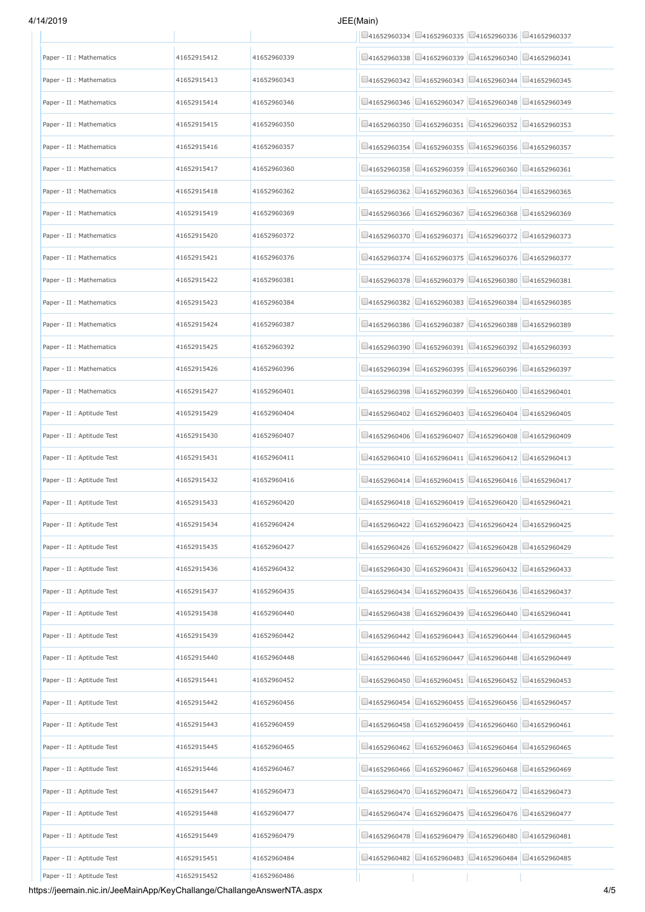# 4/14/2019 JEE(Main)

|                            |             |             | $\Box$ 41652960334 $\Box$ 41652960335 $\Box$ 41652960336 $\Box$ 41652960337    |
|----------------------------|-------------|-------------|--------------------------------------------------------------------------------|
| Paper - II : Mathematics   | 41652915412 | 41652960339 | $\Box$ 41652960338 $\Box$ 41652960339 $\Box$ 41652960340 $\Box$ 41652960341    |
| Paper - II : Mathematics   | 41652915413 | 41652960343 | $\Box$ 41652960343 $\Box$ 41652960344<br>□41652960345<br>141652960342          |
| Paper - II : Mathematics   | 41652915414 | 41652960346 | $\Box$ 41652960347 $\Box$ 41652960348 $\Box$ 41652960349<br>41652960346        |
| Paper - II : Mathematics   | 41652915415 | 41652960350 | □41652960351 □41652960352 □41652960353<br>141652960350                         |
| Paper - II : Mathematics   | 41652915416 | 41652960357 | $\Box$ 41652960355 $\Box$ 41652960356 $\Box$ 41652960357<br>$\Box$ 41652960354 |
| Paper - II : Mathematics   | 41652915417 | 41652960360 | $\Box$ 41652960359 $\Box$ 41652960360 $\Box$ 41652960361<br>41652960358        |
| Paper - II : Mathematics   | 41652915418 | 41652960362 | $\Box$ 41652960363 $\Box$ 41652960364 $\Box$ 41652960365<br>141652960362       |
| Paper - II : Mathematics   | 41652915419 | 41652960369 | $\Box$ 41652960367 $\Box$ 41652960368 $\Box$ 41652960369<br>141652960366       |
| Paper - II : Mathematics   | 41652915420 | 41652960372 | $\Box$ 41652960371 $\Box$ 41652960372 $\Box$ 41652960373<br>141652960370       |
| Paper - II : Mathematics   | 41652915421 | 41652960376 | □41652960375 □41652960376 □41652960377<br>41652960374                          |
| Paper - II : Mathematics   | 41652915422 | 41652960381 | $\Box$ 41652960379 $\Box$ 41652960380<br>41652960378<br>□41652960381           |
| Paper - II : Mathematics   | 41652915423 | 41652960384 | $\Box$ 41652960382 $\Box$ 41652960383 $\Box$ 41652960384 $\Box$ 41652960385    |
| Paper - II : Mathematics   | 41652915424 | 41652960387 | □41652960386 □41652960387 □41652960388 □41652960389                            |
| Paper - II : Mathematics   | 41652915425 | 41652960392 | $\Box$ 41652960391 $\Box$ 41652960392 $\Box$ 41652960393<br>141652960390       |
| Paper - II : Mathematics   | 41652915426 | 41652960396 | $\Box$ 41652960396 $\Box$ 41652960397<br>141652960394<br>$\Box$ 41652960395    |
| Paper - II : Mathematics   | 41652915427 | 41652960401 | 141652960398<br>$\Box$ 41652960399<br>$\bigcup$ 41652960400<br>041652960401    |
| Paper - II : Aptitude Test | 41652915429 | 41652960404 | □41652960403 □41652960404 □41652960405<br>141652960402                         |
| Paper - II : Aptitude Test | 41652915430 | 41652960407 | $\Box$ 41652960407 $\Box$ 41652960408<br>$\Box$ 41652960409<br>41652960406     |
| Paper - II : Aptitude Test | 41652915431 | 41652960411 | $\Box$ 41652960410 $\Box$ 41652960411 $\Box$ 41652960412 $\Box$ 41652960413    |
| Paper - II : Aptitude Test | 41652915432 | 41652960416 | $\Box$ 41652960414 $\Box$ 41652960415 $\Box$ 41652960416 $\Box$ 41652960417    |
| Paper - II : Aptitude Test | 41652915433 | 41652960420 | $\Box$ 41652960419 $\Box$ 41652960420 $\Box$ 41652960421<br>141652960418       |
| Paper - II : Aptitude Test | 41652915434 | 41652960424 | $\Box$ 41652960422 $\Box$ 41652960423 $\Box$ 41652960424 $\Box$ 41652960425    |
| Paper - II : Aptitude Test | 41652915435 | 41652960427 | $\Box$ 41652960427 $\Box$ 41652960428<br>41652960426<br>□41652960429           |
| Paper - II : Aptitude Test | 41652915436 | 41652960432 | □41652960430 □41652960431 □41652960432 □41652960433                            |
| Paper - II : Aptitude Test | 41652915437 | 41652960435 | $\Box$ 41652960435 $\Box$ 41652960436 $\Box$ 41652960437<br>141652960434       |
| Paper - II : Aptitude Test | 41652915438 | 41652960440 | $\Box$ 41652960440 $\Box$ 41652960441<br>$\Box$ 41652960439<br>141652960438    |
| Paper - II : Aptitude Test | 41652915439 | 41652960442 | $\Box$ 41652960444 $\Box$ 41652960445<br>41652960442<br>$\Box$ 41652960443     |
| Paper - II : Aptitude Test | 41652915440 | 41652960448 | 41652960446<br>□41652960447<br>041652960448<br>□41652960449                    |
| Paper - II : Aptitude Test | 41652915441 | 41652960452 | □41652960451 □41652960452 □41652960453<br>41652960450                          |
| Paper - II : Aptitude Test | 41652915442 | 41652960456 | □41652960456<br>141652960454<br>141652960455<br>□41652960457                   |
| Paper - II : Aptitude Test | 41652915443 | 41652960459 | $\Box$ 41652960458 $\Box$ 41652960459 $\Box$ 41652960460 $\Box$ 41652960461    |
| Paper - II : Aptitude Test | 41652915445 | 41652960465 | $\Box$ 41652960462 $\Box$ 41652960463 $\Box$ 41652960464 $\Box$ 41652960465    |
| Paper - II : Aptitude Test | 41652915446 | 41652960467 | 041652960467<br>141652960468<br>□41652960469<br>141652960466                   |
| Paper - II : Aptitude Test | 41652915447 | 41652960473 | $\Box$ 41652960471 $\Box$ 41652960472 $\Box$ 41652960473<br>141652960470       |
| Paper - II : Aptitude Test | 41652915448 | 41652960477 | 141652960474<br>141652960475<br>$\bigcup$ 41652960476<br>□41652960477          |
| Paper - II : Aptitude Test | 41652915449 | 41652960479 | $\Box$ 41652960479 $\Box$ 41652960480 $\Box$ 41652960481<br>41652960478        |
| Paper - II : Aptitude Test | 41652915451 | 41652960484 | $\Box$ 41652960483 $\Box$ 41652960484 $\Box$ 41652960485<br>41652960482        |
| Paper - II : Aptitude Test | 41652915452 | 41652960486 |                                                                                |